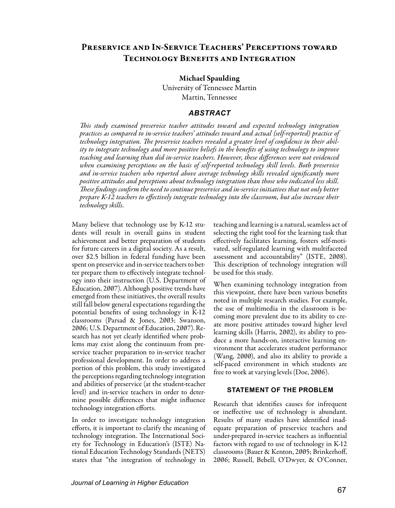# Preservice and In-Service Teachers' Perceptions toward Technology Benefits and Integration

Michael Spaulding

University of Tennessee Martin Martin, Tennessee

# *ABSTRACT*

*This study examined preservice teacher attitudes toward and expected technology integration practices as compared to in-service teachers' attitudes toward and actual (self-reported) practice of technology integration. The preservice teachers revealed a greater level of confidence in their ability to integrate technology and more positive beliefs in the benefits of using technology to improve teaching and learning than did in-service teachers. However, these differences were not evidenced when examining perceptions on the basis of self-reported technology skill levels. Both preservice and in-service teachers who reported above average technology skills revealed significantly more positive attitudes and perceptions about technology integration than those who indicated less skill. These findings confirm the need to continue preservice and in-service initiatives that not only better prepare K-12 teachers to effectively integrate technology into the classroom, but also increase their technology skills.* 

Many believe that technology use by K-12 students will result in overall gains in student achievement and better preparation of students for future careers in a digital society. As a result, over \$2.5 billion in federal funding have been spent on preservice and in-service teachers to better prepare them to effectively integrate technology into their instruction (U.S. Department of Education, 2007). Although positive trends have emerged from these initiatives, the overall results still fall below general expectations regarding the potential benefits of using technology in K-12 classrooms (Parsad & Jones, 2003; Swanson, 2006; U.S. Department of Education, 2007). Research has not yet clearly identified where problems may exist along the continuum from preservice teacher preparation to in-service teacher professional development. In order to address a portion of this problem, this study investigated the perceptions regarding technology integration and abilities of preservice (at the student-teacher level) and in-service teachers in order to determine possible differences that might influence technology integration efforts.

In order to investigate technology integration efforts, it is important to clarify the meaning of technology integration. The International Society for Technology in Education's (ISTE) National Education Technology Standards (NETS) states that "the integration of technology in

teaching and learning is a natural, seamless act of selecting the right tool for the learning task that effectively facilitates learning, fosters self-motivated, self-regulated learning with multifaceted assessment and accountability" (ISTE, 2008). This description of technology integration will be used for this study.

When examining technology integration from this viewpoint, there have been various benefits noted in multiple research studies. For example, the use of multimedia in the classroom is becoming more prevalent due to its ability to create more positive attitudes toward higher level learning skills (Harris, 2002), its ability to produce a more hands-on, interactive learning environment that accelerates student performance (Wang, 2000), and also its ability to provide a self-paced environment in which students are free to work at varying levels (Doe, 2006).

#### **STATEMENT OF THE PROBLEM**

Research that identifies causes for infrequent or ineffective use of technology is abundant. Results of many studies have identified inadequate preparation of preservice teachers and under-prepared in-service teachers as influential factors with regard to use of technology in K-12 classrooms (Bauer & Kenton, 2005; Brinkerhoff, 2006; Russell, Bebell, O'Dwyer, & O'Conner,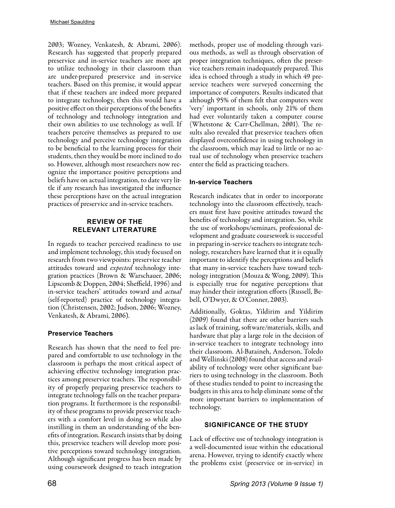2003; Wozney, Venkatesh, & Abrami, 2006). Research has suggested that properly prepared preservice and in-service teachers are more apt to utilize technology in their classroom than are under-prepared preservice and in-service teachers. Based on this premise, it would appear that if these teachers are indeed more prepared to integrate technology, then this would have a positive effect on their perceptions of the benefits of technology and technology integration and their own abilities to use technology as well. If teachers perceive themselves as prepared to use technology and perceive technology integration to be beneficial to the learning process for their students, then they would be more inclined to do so. However, although most researchers now recognize the importance positive perceptions and beliefs have on actual integration, to date very little if any research has investigated the influence these perceptions have on the actual integration practices of preservice and in-service teachers.

## **REVIEW OF THE RELEVANT LITERATURE**

In regards to teacher perceived readiness to use and implement technology, this study focused on research from two viewpoints: preservice teacher attitudes toward and *expected* technology integration practices (Brown & Warschauer, 2006; Lipscomb & Doppen, 2004; Sheffield, 1996) and in-service teachers' attitudes toward and *actual* (self-reported) practice of technology integration (Christensen, 2002; Judson, 2006; Wozney, Venkatesh, & Abrami, 2006).

# **Preservice Teachers**

Research has shown that the need to feel prepared and comfortable to use technology in the classroom is perhaps the most critical aspect of achieving effective technology integration practices among preservice teachers. The responsibility of properly preparing preservice teachers to integrate technology falls on the teacher preparation programs. It furthermore is the responsibility of these programs to provide preservice teachers with a comfort level in doing so while also instilling in them an understanding of the benefits of integration. Research insists that by doing this, preservice teachers will develop more positive perceptions toward technology integration. Although significant progress has been made by using coursework designed to teach integration

methods, proper use of modeling through various methods, as well as through observation of proper integration techniques, often the preservice teachers remain inadequately prepared. This idea is echoed through a study in which 49 preservice teachers were surveyed concerning the importance of computers. Results indicated that although 95% of them felt that computers were 'very' important in schools, only 21% of them had ever voluntarily taken a computer course (Whetstone & Carr-Chellman, 2001). The results also revealed that preservice teachers often displayed overconfidence in using technology in the classroom, which may lead to little or no actual use of technology when preservice teachers enter the field as practicing teachers.

# **In-service Teachers**

Research indicates that in order to incorporate technology into the classroom effectively, teachers must first have positive attitudes toward the benefits of technology and integration. So, while the use of workshops/seminars, professional development and graduate coursework is successful in preparing in-service teachers to integrate technology, researchers have learned that it is equally important to identify the perceptions and beliefs that many in-service teachers have toward technology integration (Mouza & Wong, 2009). This is especially true for negative perceptions that may hinder their integration efforts (Russell, Bebell, O'Dwyer, & O'Conner, 2003).

Additionally, Goktas, Yildirim and Yildirim (2009) found that there are other barriers such as lack of training, software/materials, skills, and hardware that play a large role in the decision of in-service teachers to integrate technology into their classroom. Al-Bataineh, Anderson, Toledo and Wellinski (2008) found that access and availability of technology were other significant barriers to using technology in the classroom. Both of these studies tended to point to increasing the budgets in this area to help eliminate some of the more important barriers to implementation of technology.

# **SIGNIFICANCE OF THE STUDY**

Lack of effective use of technology integration is a well-documented issue within the educational arena. However, trying to identify exactly where the problems exist (preservice or in-service) in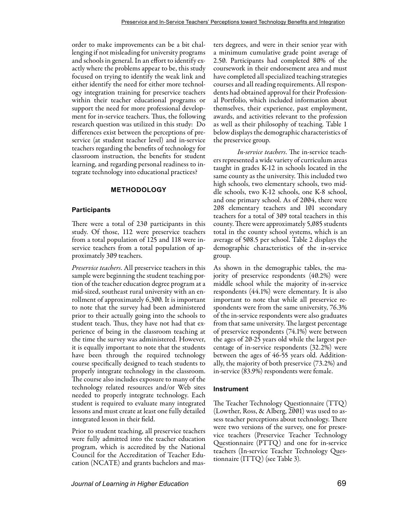order to make improvements can be a bit challenging if not misleading for university programs and schools in general. In an effort to identify exactly where the problems appear to be, this study focused on trying to identify the weak link and either identify the need for either more technology integration training for preservice teachers within their teacher educational programs or support the need for more professional development for in-service teachers. Thus, the following research question was utilized in this study: Do differences exist between the perceptions of preservice (at student teacher level) and in-service teachers regarding the benefits of technology for classroom instruction, the benefits for student learning, and regarding personal readiness to integrate technology into educational practices?

## **METHODOLOGY**

## **Participants**

There were a total of 230 participants in this study. Of those, 112 were preservice teachers from a total population of 125 and 118 were inservice teachers from a total population of approximately 309 teachers.

*Preservice teachers*. All preservice teachers in this sample were beginning the student teaching portion of the teacher education degree program at a mid-sized, southeast rural university with an enrollment of approximately 6,300. It is important to note that the survey had been administered prior to their actually going into the schools to student teach. Thus, they have not had that experience of being in the classroom teaching at the time the survey was administered. However, it is equally important to note that the students have been through the required technology course specifically designed to teach students to properly integrate technology in the classroom. The course also includes exposure to many of the technology related resources and/or Web sites needed to properly integrate technology. Each student is required to evaluate many integrated lessons and must create at least one fully detailed integrated lesson in their field.

Prior to student teaching, all preservice teachers were fully admitted into the teacher education program, which is accredited by the National Council for the Accreditation of Teacher Education (NCATE) and grants bachelors and masters degrees, and were in their senior year with a minimum cumulative grade point average of 2.50. Participants had completed 80% of the coursework in their endorsement area and must have completed all specialized teaching strategies courses and all reading requirements. All respondents had obtained approval for their Professional Portfolio, which included information about themselves, their experience, past employment, awards, and activities relevant to the profession as well as their philosophy of teaching. Table 1 below displays the demographic characteristics of the preservice group.

*In-service teachers*. The in-service teachers represented a wide variety of curriculum areas taught in grades K-12 in schools located in the same county as the university. This included two high schools, two elementary schools, two middle schools, two K-12 schools, one K-8 school, and one primary school. As of 2004, there were 208 elementary teachers and 101 secondary teachers for a total of 309 total teachers in this county. There were approximately 5,085 students total in the county school systems, which is an average of 508.5 per school. Table 2 displays the demographic characteristics of the in-service group.

As shown in the demographic tables, the majority of preservice respondents (40.2%) were middle school while the majority of in-service respondents (44.1%) were elementary. It is also important to note that while all preservice respondents were from the same university, 76.3% of the in-service respondents were also graduates from that same university. The largest percentage of preservice respondents (74.1%) were between the ages of 20-25 years old while the largest percentage of in-service respondents (32.2%) were between the ages of 46-55 years old. Additionally, the majority of both preservice (73.2%) and in-service (83.9%) respondents were female.

# **Instrument**

The Teacher Technology Questionnaire (TTQ) (Lowther, Ross, & Alberg, 2001) was used to assess teacher perceptions about technology. There were two versions of the survey, one for preservice teachers (Preservice Teacher Technology Questionnaire (PTTQ) and one for in-service teachers (In-service Teacher Technology Questionnaire (ITTQ) (see Table 3).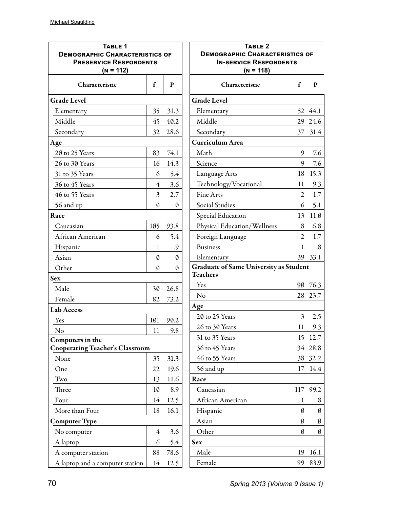| TABLE 1<br><b>DEMOGRAPHIC CHARACTERISTICS OF</b><br><b>PRESERVICE RESPONDENTS</b><br>$(N = 112)$ | <b>DEM</b>     |           |                |
|--------------------------------------------------------------------------------------------------|----------------|-----------|----------------|
| Characteristic                                                                                   | f              | ${\bf P}$ |                |
| <b>Grade Level</b>                                                                               |                |           | Grade L        |
| Elementary                                                                                       | 35             | 31.3      | Elemen         |
| Middle                                                                                           | 45             | 40.2      | Middle         |
| Secondary                                                                                        | 32             | 28.6      | Second         |
| Age                                                                                              |                |           | Curricul       |
| 20 to 25 Years                                                                                   | 83             | 74.1      | Math           |
| 26 to 30 Years                                                                                   | 16             | 14.3      | Science        |
| 31 to 35 Years                                                                                   | 6              | 5.4       | Langua         |
| 36 to 45 Years                                                                                   | 4              | 3.6       | Techno         |
| 46 to 55 Years                                                                                   | 3              | 2.7       | Fine A         |
| 56 and up                                                                                        | Ø              | Ø         | Social S       |
| Race                                                                                             |                |           | Special        |
| Caucasian                                                                                        | 105            | 93.8      | Physica        |
| African American                                                                                 | 6              | 5.4       | Foreign        |
| Hispanic                                                                                         | 1              | .9        | <b>Busines</b> |
| Asian                                                                                            | Ø              | Ø         | Elemen         |
| Other                                                                                            | Ø              | Ø         | Graduat        |
| <b>Sex</b>                                                                                       |                |           | Teachers       |
| Male                                                                                             | 30             | 26.8      | Yes            |
| Female                                                                                           | 82             | 73.2      | No             |
| <b>Lab Access</b>                                                                                |                |           | Age            |
| Yes                                                                                              | 101            | 90.2      | 20 to 2        |
| No                                                                                               | 11             | 9.8       | 26 to 3        |
| Computers in the                                                                                 |                |           | $31$ to $32$   |
| <b>Cooperating Teacher's Classroom</b>                                                           |                |           | 36 to 4        |
| None                                                                                             | 35             | 31.3      | 46 to 5        |
| One                                                                                              | 22             | 19.6      | 56 and         |
| Two                                                                                              | 13             | 11.6      | Race           |
| Three                                                                                            | 10             | 8.9       | Caucas         |
| Four                                                                                             | 14             | 12.5      | Africar        |
| More than Four                                                                                   | 18             | 16.1      | Hispan         |
| <b>Computer Type</b>                                                                             |                |           | Asian          |
| No computer                                                                                      | $\overline{4}$ | 3.6       | Other          |
| A laptop                                                                                         | 6              | 5.4       | <b>Sex</b>     |
| A computer station                                                                               | 88             | 78.6      | Male           |
| A laptop and a computer station                                                                  | 14             | 12.5      | Female         |

| TABLE <sub>2</sub><br><b>DEMOGRAPHIC CHARACTERISTICS OF</b><br><b>IN-SERVICE RESPONDENTS</b><br>$(N = 118)$ |                |                   |  |  |  |  |
|-------------------------------------------------------------------------------------------------------------|----------------|-------------------|--|--|--|--|
| Characteristic                                                                                              | f              | P                 |  |  |  |  |
| <b>Grade Level</b>                                                                                          |                |                   |  |  |  |  |
| Elementary                                                                                                  | 52             | 44.1              |  |  |  |  |
| Middle                                                                                                      | 29             | 24.6              |  |  |  |  |
| Secondary                                                                                                   | 37             | 31.4              |  |  |  |  |
| Curriculum Area                                                                                             |                |                   |  |  |  |  |
| Math                                                                                                        | 9              | 7.6               |  |  |  |  |
| Science                                                                                                     | 9              | 7.6               |  |  |  |  |
| Language Arts                                                                                               | 18             | 15.3              |  |  |  |  |
| Technology/Vocational                                                                                       | 11             | 9.3               |  |  |  |  |
| Fine Arts                                                                                                   | 2              | 1.7               |  |  |  |  |
| Social Studies                                                                                              | 6              | 5.1               |  |  |  |  |
| Special Education                                                                                           | 13             | 11.0              |  |  |  |  |
| Physical Education/Wellness                                                                                 | 8              | 6.8               |  |  |  |  |
| Foreign Language                                                                                            | $\overline{c}$ | 1.7               |  |  |  |  |
| <b>Business</b>                                                                                             | 1              | $\boldsymbol{.8}$ |  |  |  |  |
| Elementary                                                                                                  | 39             | 33.1              |  |  |  |  |
| Graduate of Same University as Student<br>Teachers                                                          |                |                   |  |  |  |  |
| Yes                                                                                                         | 90             | 76.3              |  |  |  |  |
| No                                                                                                          | 28             | 23.7              |  |  |  |  |
| Age                                                                                                         |                |                   |  |  |  |  |
| 20 to 25 Years                                                                                              | 3              | 2.5               |  |  |  |  |
| 26 to 30 Years                                                                                              | 11             | 9.3               |  |  |  |  |
| 31 to 35 Years                                                                                              | 15             | 12.7              |  |  |  |  |
| 36 to 45 Years                                                                                              | 34             | 28.8              |  |  |  |  |
| 46 to 55 Years                                                                                              | 38             | 32.2              |  |  |  |  |
| 56 and up                                                                                                   | 17             | 14.4              |  |  |  |  |
| Race                                                                                                        |                |                   |  |  |  |  |
| Caucasian                                                                                                   | 117            | 99.2              |  |  |  |  |
| African American                                                                                            | 1              | $\boldsymbol{.8}$ |  |  |  |  |
| Hispanic                                                                                                    | Ø              | Ø                 |  |  |  |  |
| Asian                                                                                                       | Ø              | Ø                 |  |  |  |  |
| Other                                                                                                       | Ø              | Ø                 |  |  |  |  |
| Sex                                                                                                         |                |                   |  |  |  |  |
| Male                                                                                                        | 19             | 16.1              |  |  |  |  |
| Female                                                                                                      | 99             | 83.9              |  |  |  |  |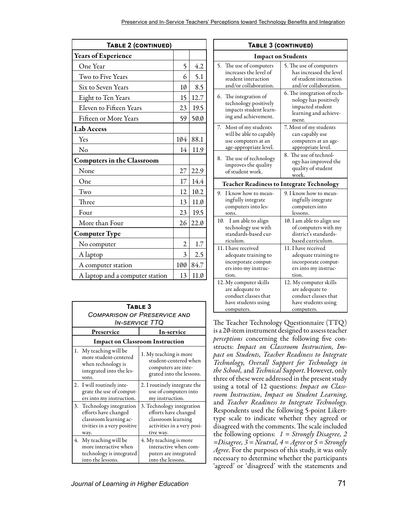| TABLE 2 (CONTINUED)               |                |      |  |  |  |
|-----------------------------------|----------------|------|--|--|--|
| <b>Years of Experience</b>        |                |      |  |  |  |
| One Year                          | 5              | 4.2  |  |  |  |
| Two to Five Years                 | 6              | 5.1  |  |  |  |
| Six to Seven Years                | 10             | 8.5  |  |  |  |
| Eight to Ten Years                | 15             | 12.7 |  |  |  |
| Eleven to Fifteen Years           | 23             | 19.5 |  |  |  |
| Fifteen or More Years             | 59             | 50.0 |  |  |  |
| Lab Access                        |                |      |  |  |  |
| Yes                               | 104            | 88.1 |  |  |  |
| No                                | 14             | 11.9 |  |  |  |
| <b>Computers in the Classroom</b> |                |      |  |  |  |
| None                              | 27             | 22.9 |  |  |  |
| One                               | 17             | 14.4 |  |  |  |
| Two                               | 12             | 10.2 |  |  |  |
| Three                             | 13             | 11.0 |  |  |  |
| Four                              | 23             | 19.5 |  |  |  |
| More than Four                    | 26             | 22.0 |  |  |  |
| <b>Computer Type</b>              |                |      |  |  |  |
| No computer                       | $\overline{2}$ | 1.7  |  |  |  |
| A laptop                          | 3              | 2.5  |  |  |  |
| A computer station                | 100            | 84.7 |  |  |  |
| A laptop and a computer station   | 13             | 11.0 |  |  |  |

|                          | TABLE <sub>3</sub><br><b>COMPARISON OF PRESERVICE AND</b><br><b>IN-SERVICE TTQ</b>                                 |                                                                                                                    |  |  |  |  |
|--------------------------|--------------------------------------------------------------------------------------------------------------------|--------------------------------------------------------------------------------------------------------------------|--|--|--|--|
| Preservice<br>In-service |                                                                                                                    |                                                                                                                    |  |  |  |  |
|                          | <b>Impact on Classroom Instruction</b>                                                                             |                                                                                                                    |  |  |  |  |
|                          | 1. My teaching will be<br>more student-centered<br>when technology is<br>integrated into the les-<br>sons.         | 1. My teaching is more<br>student-centered when<br>computers are inte-<br>grated into the lessons.                 |  |  |  |  |
|                          | 2. I will routinely inte-<br>grate the use of comput-<br>ers into my instruction.                                  | 2. I routinely integrate the<br>use of computers into<br>my instruction.                                           |  |  |  |  |
|                          | 3. Technology integration<br>efforts have changed<br>classroom learning ac-<br>tivities in a very positive<br>way. | 3. Technology integration<br>efforts have changed<br>classroom learning<br>activities in a very posi-<br>tive way. |  |  |  |  |
|                          | 4. My teaching will be<br>more interactive when<br>technology is integrated<br>into the lessons.                   | 4. My teaching is more<br>interactive when com-<br>puters are integrated<br>into the lessons.                      |  |  |  |  |

| TABLE 3 (CONTINUED)                                                                                    |                                                                                                            |  |  |  |  |  |
|--------------------------------------------------------------------------------------------------------|------------------------------------------------------------------------------------------------------------|--|--|--|--|--|
| <b>Impact on Students</b>                                                                              |                                                                                                            |  |  |  |  |  |
| 5. The use of computers<br>increases the level of<br>student interaction<br>and/or collaboration.      | 5. The use of computers<br>has increased the level<br>of student interaction<br>and/or collaboration.      |  |  |  |  |  |
| 6. The integration of<br>technology positively<br>impacts student learn-<br>ing and achievement.       | 6. The integration of tech-<br>nology has positively<br>impacted student<br>learning and achieve-<br>ment. |  |  |  |  |  |
| Most of my students<br>7.<br>will be able to capably<br>use computers at an<br>age-appropriate level.  | 7. Most of my students<br>can capably use<br>computers at an age-<br>appropriate level.                    |  |  |  |  |  |
| 8. The use of technology<br>improves the quality<br>of student work.                                   | The use of technol-<br>8.<br>ogy has improved the<br>quality of student<br>work.                           |  |  |  |  |  |
|                                                                                                        | <b>Teacher Readiness to Integrate Technology</b>                                                           |  |  |  |  |  |
| I know how to mean-<br>9.<br>ingfully integrate<br>computers into les-<br>sons.                        | 9. I know how to mean-<br>ingfully integrate<br>computers into<br>lessons.                                 |  |  |  |  |  |
| 10. I am able to align<br>technology use with<br>standards-based cur-<br>riculum.                      | 10. I am able to align use<br>of computers with my<br>district's standards-<br>based curriculum.           |  |  |  |  |  |
| 11. I have received<br>adequate training to<br>incorporate comput-<br>ers into my instruc-<br>tion.    | 11. I have received<br>adequate training to<br>incorporate comput-<br>ers into my instruc-<br>tion.        |  |  |  |  |  |
| 12. My computer skills<br>are adequate to<br>conduct classes that<br>have students using<br>computers. | 12. My computer skills<br>are adequate to<br>conduct classes that<br>have students using<br>computers.     |  |  |  |  |  |

The Teacher Technology Questionnaire (TTQ) is a 20-item instrument designed to assess teacher *perceptions* concerning the following five constructs: *Impact on Classroom Instruction, Impact on Students, Teacher Readiness to Integrate Technology, Overall Support for Technology in the School,* and *Technical Support*. However, only three of these were addressed in the present study using a total of 12 questions: *Impact on Classroom Instruction*, *Impact on Student Learning*, and *Teacher Readiness to Integrate Technology*. Respondents used the following 5-point Likerttype scale to indicate whether they agreed or disagreed with the comments. The scale included the following options: *1 = Strongly Disagree, 2 =Disagree, 3 = Neutral, 4 = Agree* or *5 = Strongly Agree*. For the purposes of this study, it was only necessary to determine whether the participants 'agreed' or 'disagreed' with the statements and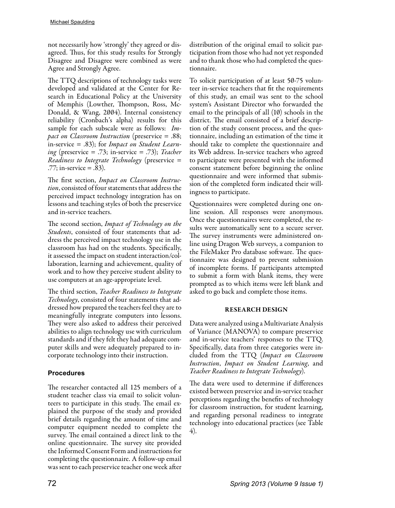not necessarily how 'strongly' they agreed or disagreed. Thus, for this study results for Strongly Disagree and Disagree were combined as were Agree and Strongly Agree.

The TTQ descriptions of technology tasks were developed and validated at the Center for Research in Educational Policy at the University of Memphis (Lowther, Thompson, Ross, Mc-Donald, & Wang, 2004). Internal consistency reliability (Cronbach's alpha) results for this sample for each subscale were as follows: *Impact on Classroom Instruction* (preservice = .88; in-service = .83); for *Impact on Student Learning* (preservice = .73; in-service = .73); *Teacher Readiness to Integrate Technology* (preservice = .77; in-service = .83).

The first section, *Impact on Classroom Instruction*, consisted of four statements that address the perceived impact technology integration has on lessons and teaching styles of both the preservice and in-service teachers.

The second section, *Impact of Technology on the Students*, consisted of four statements that address the perceived impact technology use in the classroom has had on the students. Specifically, it assessed the impact on student interaction/collaboration, learning and achievement, quality of work and to how they perceive student ability to use computers at an age-appropriate level.

The third section, *Teacher Readiness to Integrate Technology*, consisted of four statements that addressed how prepared the teachers feel they are to meaningfully integrate computers into lessons. They were also asked to address their perceived abilities to align technology use with curriculum standards and if they felt they had adequate computer skills and were adequately prepared to incorporate technology into their instruction.

# **Procedures**

The researcher contacted all 125 members of a student teacher class via email to solicit volunteers to participate in this study. The email explained the purpose of the study and provided brief details regarding the amount of time and computer equipment needed to complete the survey. The email contained a direct link to the online questionnaire. The survey site provided the Informed Consent Form and instructions for completing the questionnaire. A follow-up email was sent to each preservice teacher one week after distribution of the original email to solicit participation from those who had not yet responded and to thank those who had completed the questionnaire.

To solicit participation of at least 50-75 volunteer in-service teachers that fit the requirements of this study, an email was sent to the school system's Assistant Director who forwarded the email to the principals of all (10) schools in the district. The email consisted of a brief description of the study consent process, and the questionnaire, including an estimation of the time it should take to complete the questionnaire and its Web address. In-service teachers who agreed to participate were presented with the informed consent statement before beginning the online questionnaire and were informed that submission of the completed form indicated their willingness to participate.

Questionnaires were completed during one online session. All responses were anonymous. Once the questionnaires were completed, the results were automatically sent to a secure server. The survey instruments were administered online using Dragon Web surveys, a companion to the FileMaker Pro database software. The questionnaire was designed to prevent submission of incomplete forms. If participants attempted to submit a form with blank items, they were prompted as to which items were left blank and asked to go back and complete those items.

# RESEARCH DESIGN

Data were analyzed using a Multivariate Analysis of Variance (MANOVA) to compare preservice and in-service teachers' responses to the TTQ. Specifically, data from three categories were included from the TTQ (*Impact on Classroom Instruction*, *Impact on Student Learning*, and *Teacher Readiness to Integrate Technology*).

The data were used to determine if differences existed between preservice and in-service teacher perceptions regarding the benefits of technology for classroom instruction, for student learning, and regarding personal readiness to integrate technology into educational practices (see Table 4).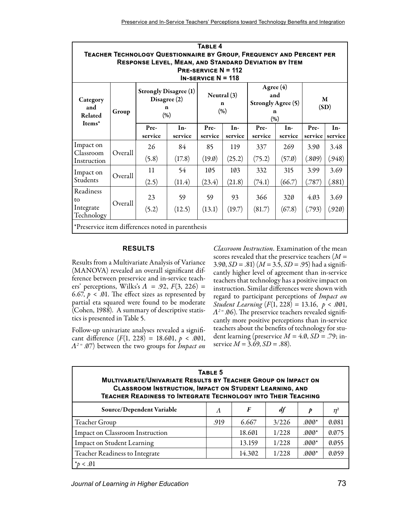| TABLE <sub>4</sub><br><b>TEACHER TECHNOLOGY QUESTIONNAIRE BY GROUP, FREQUENCY AND PERCENT PER</b><br><b>RESPONSE LEVEL, MEAN, AND STANDARD DEVIATION BY ITEM</b><br><b>PRE-SERVICE <math>N = 112</math></b><br>$IN-SERVICE N = 118$ |         |                                                             |                  |                                   |                |                                                             |                           |                 |                  |
|-------------------------------------------------------------------------------------------------------------------------------------------------------------------------------------------------------------------------------------|---------|-------------------------------------------------------------|------------------|-----------------------------------|----------------|-------------------------------------------------------------|---------------------------|-----------------|------------------|
| Category<br>and<br>Related<br>Items*                                                                                                                                                                                                | Group   | <b>Strongly Disagree (1)</b><br>Disagree $(2)$<br>n<br>(% ) |                  | Neutral (3)<br>$\mathbf n$<br>(%) |                | Agree $(4)$<br>and<br><b>Strongly Agree (5)</b><br>n<br>(%) |                           | M<br>(SD)       |                  |
|                                                                                                                                                                                                                                     |         | Pre-<br>service                                             | $In-$<br>service | Pre-<br>service                   | In-<br>service | Pre-<br>service                                             | $In-$<br>service          | Pre-<br>service | $In-$<br>service |
| Impact on<br>Classroom<br>Instruction                                                                                                                                                                                               | Overall | 26                                                          | 84               | 85                                | 119            | 337                                                         | 269                       | 3.90            | 3.48             |
|                                                                                                                                                                                                                                     |         | (5.8)                                                       | (17.8)           | (19.0)                            | (25.2)         | (75.2)                                                      | (57.0)                    | (.809)          | (948)            |
| Impact on<br>Students                                                                                                                                                                                                               | Overall | 11                                                          | 54               | 105                               | 103            | 332                                                         | 315                       | 3.99            | 3.69             |
|                                                                                                                                                                                                                                     |         | (2.5)                                                       | (11.4)           | (23.4)                            | (21.8)         | (74.1)                                                      | (66.7)                    | (.787)          | (.881)           |
| Readiness<br>to<br>Integrate<br>Technology                                                                                                                                                                                          | Overall | 23<br>(5.2)                                                 | 59<br>(12.5)     | 59<br>(13.1)                      | 93<br>(19.7)   | 366<br>(81.7)                                               | 32 <sub>0</sub><br>(67.8) | 4.03<br>(.793)  | 3.69<br>(.920)   |
| *Preservice item differences noted in parenthesis                                                                                                                                                                                   |         |                                                             |                  |                                   |                |                                                             |                           |                 |                  |

## **RESULTS**

Results from a Multivariate Analysis of Variance (MANOVA) revealed an overall significant difference between preservice and in-service teachers' perceptions, Wilks's  $\Lambda$  = .92,  $F(3, 226)$  = 6.67,  $p < 0.01$ . The effect sizes as represented by partial eta squared were found to be moderate (Cohen, 1988). A summary of descriptive statistics is presented in Table 5.

Follow-up univariate analyses revealed a significant difference  $(F(1, 228) = 18.601, p < .001,$ *L2* = .07) between the two groups for *Impact on* 

*Classroom Instruction.* Examination of the mean scores revealed that the preservice teachers (*M =*  3.90, *SD* = .81) (*M =* 3.5, *SD* = .95) had a significantly higher level of agreement than in-service teachers that technology has a positive impact on instruction. Similar differences were shown with regard to participant perceptions of *Impact on Student Learning* (*F*(1, 228) = 13.16, *p* < .001,  $\Lambda^{2}$  = .06). The preservice teachers revealed significantly more positive perceptions than in-service teachers about the benefits of technology for student learning (preservice  $M = 4.0$ ,  $SD = .79$ ; inservice  $M = 3.69$ ,  $SD = .88$ ).

| TABLE <sub>5</sub><br><b>MULTIVARIATE/UNIVARIATE RESULTS BY TEACHER GROUP ON IMPACT ON</b><br><b>CLASSROOM INSTRUCTION, IMPACT ON STUDENT LEARNING, AND</b><br><b>TEACHER READINESS TO INTEGRATE TECHNOLOGY INTO THEIR TEACHING</b> |      |        |       |         |       |  |  |  |  |
|-------------------------------------------------------------------------------------------------------------------------------------------------------------------------------------------------------------------------------------|------|--------|-------|---------|-------|--|--|--|--|
| df<br>Source/Dependent Variable<br>$\bm{F}$<br>$\Lambda$<br>p<br>$\eta^2$                                                                                                                                                           |      |        |       |         |       |  |  |  |  |
| Teacher Group                                                                                                                                                                                                                       | .919 | 6.667  | 3/226 | $.000*$ | 0.081 |  |  |  |  |
| Impact on Classroom Instruction                                                                                                                                                                                                     |      | 18.601 | 1/228 | $.000*$ | 0.075 |  |  |  |  |
| Impact on Student Learning                                                                                                                                                                                                          |      | 13.159 | 1/228 | $.000*$ | 0.055 |  |  |  |  |
| Teacher Readiness to Integrate<br>14.302<br>1/228<br>0.059<br>.000*                                                                                                                                                                 |      |        |       |         |       |  |  |  |  |
| $*_p$ < .01                                                                                                                                                                                                                         |      |        |       |         |       |  |  |  |  |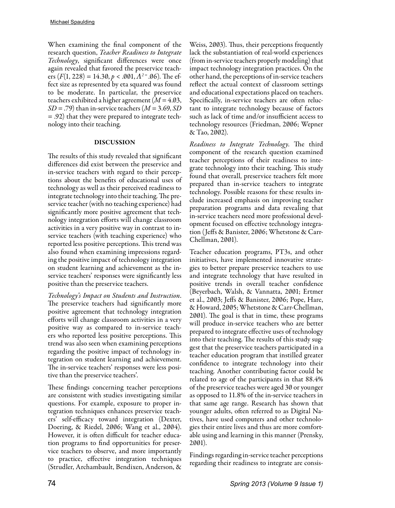When examining the final component of the research question, *Teacher Readiness to Integrate Technology*, significant differences were once again revealed that favored the preservice teachers  $(F(1, 228) = 14.30, p < .001, \Lambda^{2} = .06)$ . The effect size as represented by eta squared was found to be moderate. In particular, the preservice teachers exhibited a higher agreement (*M =* 4.03,  $SD = .79$ ) than in-service teachers ( $M = 3.69$ , *SD* = .92) that they were prepared to integrate technology into their teaching.

#### DISCUSSION

The results of this study revealed that significant differences did exist between the preservice and in-service teachers with regard to their perceptions about the benefits of educational uses of technology as well as their perceived readiness to integrate technology into their teaching. The preservice teacher (with no teaching experience) had significantly more positive agreement that technology integration efforts will change classroom activities in a very positive way in contrast to inservice teachers (with teaching experience) who reported less positive perceptions. This trend was also found when examining impressions regarding the positive impact of technology integration on student learning and achievement as the inservice teachers' responses were significantly less positive than the preservice teachers.

*Technology's Impact on Students and Instruction*. The preservice teachers had significantly more positive agreement that technology integration efforts will change classroom activities in a very positive way as compared to in-service teachers who reported less positive perceptions. This trend was also seen when examining perceptions regarding the positive impact of technology integration on student learning and achievement. The in-service teachers' responses were less positive than the preservice teachers'.

These findings concerning teacher perceptions are consistent with studies investigating similar questions. For example, exposure to proper integration techniques enhances preservice teachers' self-efficacy toward integration (Dexter, Doering, & Riedel, 2006; Wang et al., 2004). However, it is often difficult for teacher education programs to find opportunities for preservice teachers to observe, and more importantly to practice, effective integration techniques (Strudler, Archambault, Bendixen, Anderson, &

Weiss, 2003). Thus, their perceptions frequently lack the substantiation of real-world experiences (from in-service teachers properly modeling) that impact technology integration practices. On the other hand, the perceptions of in-service teachers reflect the actual context of classroom settings and educational expectations placed on teachers. Specifically, in-service teachers are often reluctant to integrate technology because of factors such as lack of time and/or insufficient access to technology resources (Friedman, 2006; Wepner & Tao, 2002).

*Readiness to Integrate Technology*. The third component of the research question examined teacher perceptions of their readiness to integrate technology into their teaching. This study found that overall, preservice teachers felt more prepared than in-service teachers to integrate technology. Possible reasons for these results include increased emphasis on improving teacher preparation programs and data revealing that in-service teachers need more professional development focused on effective technology integration (Jeffs & Banister, 2006; Whetstone & Carr-Chellman, 2001).

Teacher education programs, PT3s, and other initiatives, have implemented innovative strategies to better prepare preservice teachers to use and integrate technology that have resulted in positive trends in overall teacher confidence (Beyerbach, Walsh, & Vannatta, 2001; Ertmer et al., 2003; Jeffs & Banister, 2006; Pope, Hare, & Howard, 2005; Whetstone & Carr-Chellman, 2001). The goal is that in time, these programs will produce in-service teachers who are better prepared to integrate effective uses of technology into their teaching. The results of this study suggest that the preservice teachers participated in a teacher education program that instilled greater confidence to integrate technology into their teaching. Another contributing factor could be related to age of the participants in that 88.4% of the preservice teaches were aged 30 or younger as opposed to 11.8% of the in-service teachers in that same age range. Research has shown that younger adults, often referred to as Digital Natives, have used computers and other technologies their entire lives and thus are more comfortable using and learning in this manner (Prensky, 2001).

Findings regarding in-service teacher perceptions regarding their readiness to integrate are consis-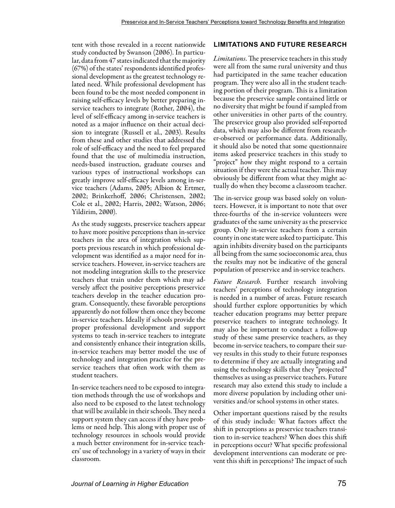tent with those revealed in a recent nationwide study conducted by Swanson (2006). In particular, data from 47 states indicated that the majority (67%) of the states' respondents identified professional development as the greatest technology related need. While professional development has been found to be the most needed component in raising self-efficacy levels by better preparing inservice teachers to integrate (Rother, 2004), the level of self-efficacy among in-service teachers is noted as a major influence on their actual decision to integrate (Russell et al., 2003). Results from these and other studies that addressed the role of self-efficacy and the need to feel prepared found that the use of multimedia instruction, needs-based instruction, graduate courses and various types of instructional workshops can greatly improve self-efficacy levels among in-service teachers (Adams, 2005; Albion & Ertmer, 2002; Brinkerhoff, 2006; Christensen, 2002; Cole et al., 2002; Harris, 2002; Watson, 2006; Yildirim, 2000).

As the study suggests, preservice teachers appear to have more positive perceptions than in-service teachers in the area of integration which supports previous research in which professional development was identified as a major need for inservice teachers. However, in-service teachers are not modeling integration skills to the preservice teachers that train under them which may adversely affect the positive perceptions preservice teachers develop in the teacher education program. Consequently, these favorable perceptions apparently do not follow them once they become in-service teachers. Ideally if schools provide the proper professional development and support systems to teach in-service teachers to integrate and consistently enhance their integration skills, in-service teachers may better model the use of technology and integration practice for the preservice teachers that often work with them as student teachers.

In-service teachers need to be exposed to integration methods through the use of workshops and also need to be exposed to the latest technology that will be available in their schools. They need a support system they can access if they have problems or need help. This along with proper use of technology resources in schools would provide a much better environment for in-service teachers' use of technology in a variety of ways in their classroom.

#### **LIMITATIONS AND FUTURE RESEARCH**

*Limitations*. The preservice teachers in this study were all from the same rural university and thus had participated in the same teacher education program. They were also all in the student teaching portion of their program. This is a limitation because the preservice sample contained little or no diversity that might be found if sampled from other universities in other parts of the country. The preservice group also provided self-reported data, which may also be different from researcher-observed or performance data. Additionally, it should also be noted that some questionnaire items asked preservice teachers in this study to "project" how they might respond to a certain situation if they were the actual teacher. This may obviously be different from what they might actually do when they become a classroom teacher.

The in-service group was based solely on volunteers. However, it is important to note that over three-fourths of the in-service volunteers were graduates of the same university as the preservice group. Only in-service teachers from a certain county in one state were asked to participate. This again inhibits diversity based on the participants all being from the same socioeconomic area, thus the results may not be indicative of the general population of preservice and in-service teachers.

*Future Research.* Further research involving teachers' perceptions of technology integration is needed in a number of areas. Future research should further explore opportunities by which teacher education programs may better prepare preservice teachers to integrate technology. It may also be important to conduct a follow-up study of these same preservice teachers, as they become in-service teachers, to compare their survey results in this study to their future responses to determine if they are actually integrating and using the technology skills that they "projected" themselves as using as preservice teachers. Future research may also extend this study to include a more diverse population by including other universities and/or school systems in other states.

Other important questions raised by the results of this study include: What factors affect the shift in perceptions as preservice teachers transition to in-service teachers? When does this shift in perceptions occur? What specific professional development interventions can moderate or prevent this shift in perceptions? The impact of such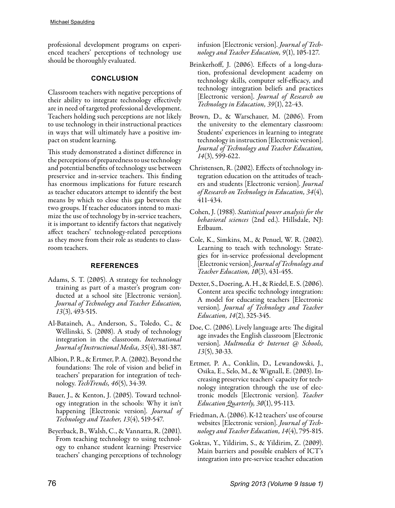professional development programs on experienced teachers' perceptions of technology use should be thoroughly evaluated.

#### **CONCLUSION**

Classroom teachers with negative perceptions of their ability to integrate technology effectively are in need of targeted professional development. Teachers holding such perceptions are not likely to use technology in their instructional practices in ways that will ultimately have a positive impact on student learning.

This study demonstrated a distinct difference in the perceptions of preparedness to use technology and potential benefits of technology use between preservice and in-service teachers. This finding has enormous implications for future research as teacher educators attempt to identify the best means by which to close this gap between the two groups. If teacher educators intend to maximize the use of technology by in-service teachers, it is important to identify factors that negatively affect teachers' technology-related perceptions as they move from their role as students to classroom teachers.

#### **REFERENCES**

- Adams, S. T. (2005). A strategy for technology training as part of a master's program conducted at a school site [Electronic version]. *Journal of Technology and Teacher Education, 13*(3), 493-515.
- Al-Bataineh, A., Anderson, S., Toledo, C., & Wellinski, S. (2008). A study of technology integration in the classroom. *International Journal of Instructional Media, 35*(4), 381-387.
- Albion, P. R., & Ertmer, P. A. (2002). Beyond the foundations: The role of vision and belief in teachers' preparation for integration of technology. *TechTrends, 46*(5), 34-39.
- Bauer, J., & Kenton, J. (2005). Toward technology integration in the schools: Why it isn't happening [Electronic version]. *Journal of Technology and Teacher, 13*(4), 519-547.
- Beyerback, B., Walsh, C., & Vannatta, R. (2001). From teaching technology to using technology to enhance student learning: Preservice teachers' changing perceptions of technology

infusion [Electronic version]. *Journal of Technology and Teacher Education, 9*(1), 105-127.

- Brinkerhoff, J. (2006). Effects of a long-duration, professional development academy on technology skills, computer self-efficacy, and technology integration beliefs and practices [Electronic version]. *Journal of Research on Technology in Education, 39*(1), 22-43.
- Brown, D., & Warschauer, M. (2006). From the university to the elementary classroom: Students' experiences in learning to integrate technology in instruction [Electronic version]. *Journal of Technology and Teacher Education, 14*(3), 599-622.
- Christensen, R. (2002). Effects of technology integration education on the attitudes of teachers and students [Electronic version]. *Journal of Research on Technology in Education, 34*(4), 411-434.
- Cohen, J. (1988). *Statistical power analysis for the behavioral sciences* (2nd ed.). Hillsdale, NJ: Erlbaum.
- Cole, K., Simkins, M., & Penuel, W. R. (2002). Learning to teach with technology: Strategies for in-service professional development [Electronic version]. *Journal of Technology and Teacher Education, 10*(3), 431-455.
- Dexter, S., Doering, A. H., & Riedel, E. S. (2006). Content area specific technology integration: A model for educating teachers [Electronic version]. *Journal of Technology and Teacher Education, 14*(2), 325-345.
- Doe, C. (2006). Lively language arts: The digital age invades the English classroom [Electronic version]. *Multmedia & Internet @ Schools, 13*(5), 30-33.
- Ertmer, P. A., Conklin, D., Lewandowski, J., Osika, E., Selo, M., & Wignall, E. (2003). Increasing preservice teachers' capacity for technology integration through the use of electronic models [Electronic version]. *Teacher Education Quarterly, 30*(1), 95-113.
- Friedman, A. (2006). K-12 teachers' use of course websites [Electronic version]. *Journal of Technology and Teacher Education, 14*(4), 795-815.
- Goktas, Y., Yildirim, S., & Yildirim, Z. (2009). Main barriers and possible enablers of ICT's integration into pre-service teacher education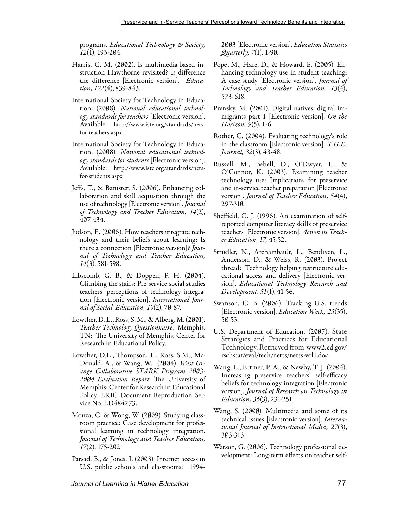programs. *Educational Technology & Society, 12*(1), 193-204.

- Harris, C. M. (2002). Is multimedia-based instruction Hawthorne revisited? Is difference the difference [Electronic version]. *Education, 122*(4), 839-843.
- International Society for Technology in Education. (2008). *National educational technology standards for teachers* [Electronic version]. Available: [http://www.iste.org/standards/nets](http://www.iste.org/standards/nets-for-teachers.aspx)[for-teachers.aspx](http://www.iste.org/standards/nets-for-teachers.aspx)
- International Society for Technology in Education. (2008). *National educational technology standards for students* [Electronic version]. Available: [http://www.iste.org/standards/nets](http://www.iste.org/standards/nets-for-students.aspx)[for-students.aspx](http://www.iste.org/standards/nets-for-students.aspx)
- Jeffs, T., & Banister, S. (2006). Enhancing collaboration and skill acquisition through the use of technology [Electronic version]. *Journal of Technology and Teacher Education, 14*(2), 407-434.
- Judson, E. (2006). How teachers integrate technology and their beliefs about learning: Is there a connection [Electronic version]? *Journal of Technology and Teacher Education, 14*(3), 581-598.
- Libscomb, G. B., & Doppen, F. H. (2004). Climbing the stairs: Pre-service social studies teachers' perceptions of technology integration [Electronic version]. *International Journal of Social Education, 19*(2), 70-87.
- Lowther, D. L., Ross, S. M., & Alberg, M. (2001). *Teacher Technology Questionnaire*. Memphis, TN: The University of Memphis, Center for Research in Educational Policy.
- Lowther, D.L., Thompson, L., Ross, S.M., Mc-Donald, A., & Wang, W. (2004). *West Orange Collaborative STARK Program 2003- 2004 Evaluation Report*. The University of Memphis: Center for Research in Educational Policy. ERIC Document Reproduction Service No. ED484273.
- Mouza, C. & Wong, W. (2009). Studying classroom practice: Case development for professional learning in technology integration. *Journal of Technology and Teacher Education, 17*(2), 175-202.
- Parsad, B., & Jones, J. (2003). Internet access in U.S. public schools and classrooms: 1994-

2003 [Electronic version]. *Education Statistics Quarterly, 7*(1), 1-90.

- Pope, M., Hare, D., & Howard, E. (2005). Enhancing technology use in student teaching: A case study [Electronic version]. *Journal of Technology and Teacher Education, 13*(4), 573-618.
- Prensky, M. (2001). Digital natives, digital immigrants part 1 [Electronic version]. *On the Horizon, 9*(5), 1-6.
- Rother, C. (2004). Evaluating technology's role in the classroom [Electronic version]. *T.H.E. Journal, 32*(3), 43-48.
- Russell, M., Bebell, D., O'Dwyer, L., & O'Connor, K. (2003). Examining teacher technology use: Implications for preservice and in-service teacher preparation [Electronic version]. *Journal of Teacher Education, 54*(4), 297-310.
- Sheffield, C. J. (1996). An examination of selfreported computer literacy skills of preservice teachers [Electronic version]. *Action in Teacher Education, 17,* 45-52.
- Strudler, N., Archambault, L., Bendixen, L., Anderson, D., & Weiss, R. (2003). Project thread: Technology helping restructure educational access and delivery [Electronic version]. *Educational Technology Research and Development, 51*(1), 41-56.
- Swanson, C. B. (2006). Tracking U.S. trends [Electronic version]. *Education Week, 25*(35), 50-53.
- U.S. Department of Education. (2007). State Strategies and Practices for Educational Technology. Retrieved from www2.ed.gov/ rschstat/eval/tech/netts/netts-vol1.doc.
- Wang, L., Ertmer, P. A., & Newby, T. J. (2004). Increasing preservice teachers' self-efficacy beliefs for technology integration [Electronic version]. *Journal of Research on Technology in Education, 36*(3), 231-251.
- Wang, S. (2000). Multimedia and some of its technical issues [Electronic version]. *International Journal of Instructional Media, 27*(3), 303-313.
- Watson, G. (2006). Technology professional development: Long-term effects on teacher self-